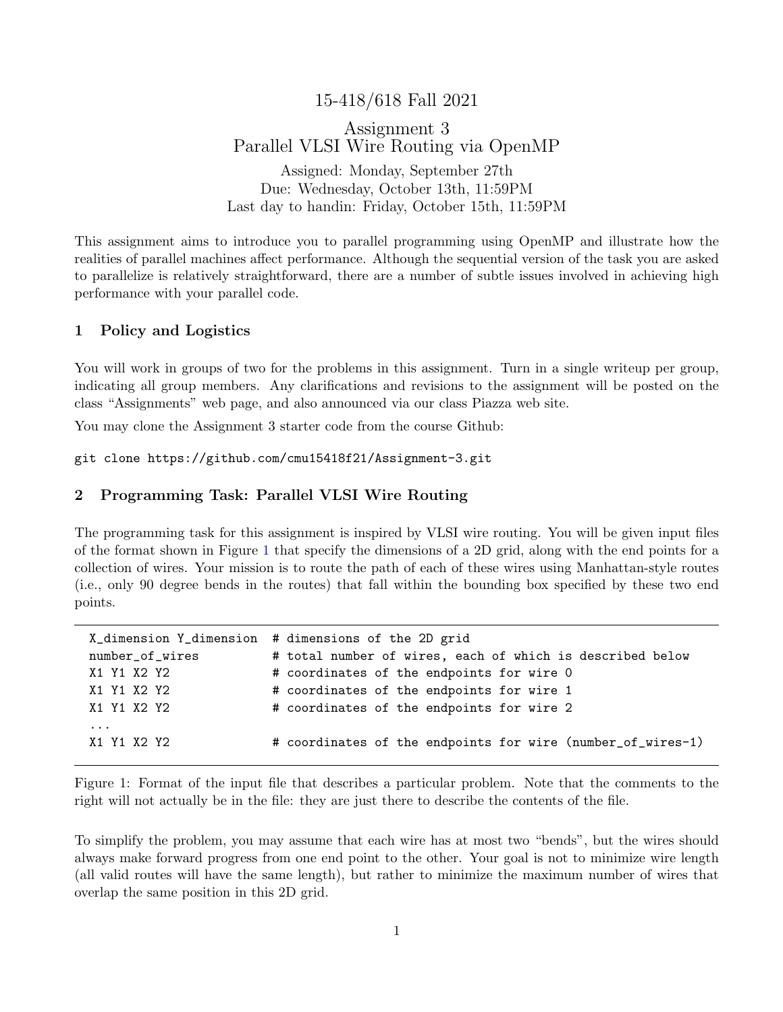# 15-418/618 Fall 2021

# Assignment 3 Parallel VLSI Wire Routing via OpenMP

Assigned: Monday, September 27th Due: Wednesday, October 13th, 11:59PM Last day to handin: Friday, October 15th, 11:59PM

This assignment aims to introduce you to parallel programming using OpenMP and illustrate how the realities of parallel machines affect performance. Although the sequential version of the task you are asked to parallelize is relatively straightforward, there are a number of subtle issues involved in achieving high performance with your parallel code.

### 1 Policy and Logistics

You will work in groups of two for the problems in this assignment. Turn in a single writeup per group, indicating all group members. Any clarifications and revisions to the assignment will be posted on the class "Assignments" web page, and also announced via our class Piazza web site.

You may clone the Assignment 3 starter code from the course Github:

git clone https://github.com/cmu15418f21/Assignment-3.git

### 2 Programming Task: Parallel VLSI Wire Routing

The programming task for this assignment is inspired by VLSI wire routing. You will be given input files of the format shown in Figure [1](#page-0-0) that specify the dimensions of a 2D grid, along with the end points for a collection of wires. Your mission is to route the path of each of these wires using Manhattan-style routes (i.e., only 90 degree bends in the routes) that fall within the bounding box specified by these two end points.

|                 | X_dimension Y_dimension # dimensions of the 2D grid         |
|-----------------|-------------------------------------------------------------|
| number_of_wires | # total number of wires, each of which is described below   |
| X1 Y1 X2 Y2     | # coordinates of the endpoints for wire 0                   |
| X1 Y1 X2 Y2     | # coordinates of the endpoints for wire 1                   |
| X1 Y1 X2 Y2     | # coordinates of the endpoints for wire 2                   |
| $\cdots$        |                                                             |
| X1 Y1 X2 Y2     | # coordinates of the endpoints for wire (number_of_wires-1) |
|                 |                                                             |

<span id="page-0-0"></span>Figure 1: Format of the input file that describes a particular problem. Note that the comments to the right will not actually be in the file: they are just there to describe the contents of the file.

To simplify the problem, you may assume that each wire has at most two "bends", but the wires should always make forward progress from one end point to the other. Your goal is not to minimize wire length (all valid routes will have the same length), but rather to minimize the maximum number of wires that overlap the same position in this 2D grid.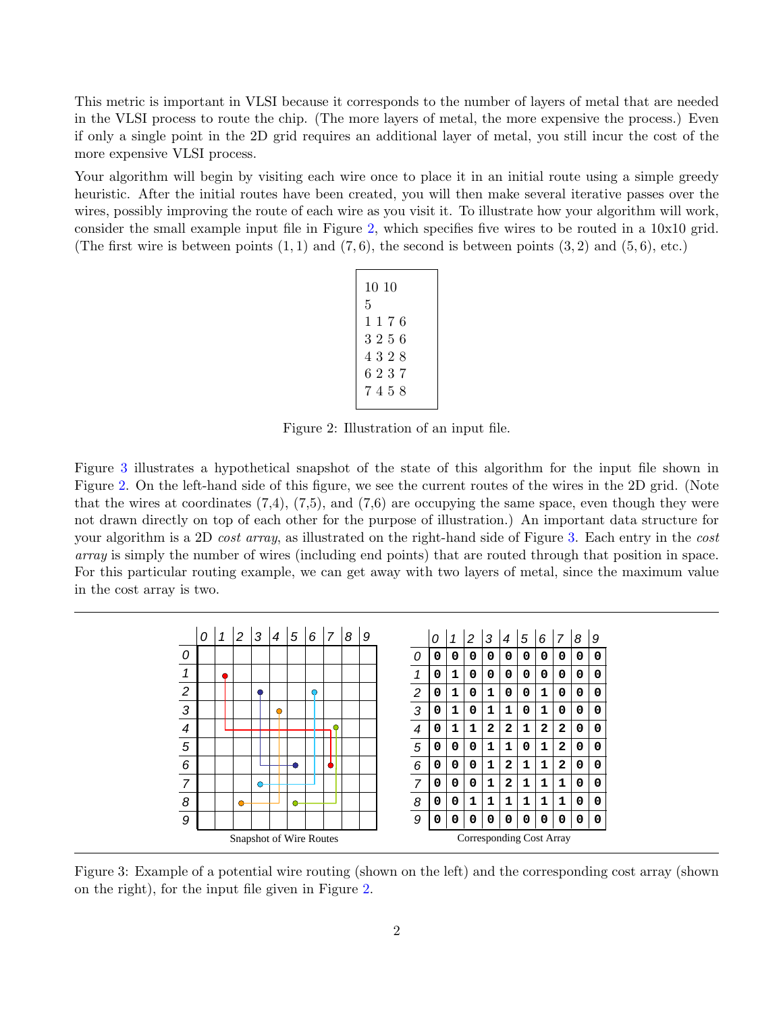This metric is important in VLSI because it corresponds to the number of layers of metal that are needed in the VLSI process to route the chip. (The more layers of metal, the more expensive the process.) Even if only a single point in the 2D grid requires an additional layer of metal, you still incur the cost of the more expensive VLSI process.

Your algorithm will begin by visiting each wire once to place it in an initial route using a simple greedy heuristic. After the initial routes have been created, you will then make several iterative passes over the wires, possibly improving the route of each wire as you visit it. To illustrate how your algorithm will work, consider the small example input file in Figure [2,](#page-1-0) which specifies five wires to be routed in a 10x10 grid. (The first wire is between points  $(1, 1)$  and  $(7, 6)$ , the second is between points  $(3, 2)$  and  $(5, 6)$ , etc.)

| 10 10 |
|-------|
| 5     |
| 1176  |
| 3256  |
| 4328  |
| 6237  |
| 7458  |
|       |

<span id="page-1-0"></span>Figure 2: Illustration of an input file.

Figure [3](#page-1-1) illustrates a hypothetical snapshot of the state of this algorithm for the input file shown in Figure [2.](#page-1-0) On the left-hand side of this figure, we see the current routes of the wires in the 2D grid. (Note that the wires at coordinates  $(7,4)$ ,  $(7,5)$ , and  $(7,6)$  are occupying the same space, even though they were not drawn directly on top of each other for the purpose of illustration.) An important data structure for your algorithm is a 2D cost array, as illustrated on the right-hand side of Figure [3.](#page-1-1) Each entry in the cost array is simply the number of wires (including end points) that are routed through that position in space. For this particular routing example, we can get away with two layers of metal, since the maximum value in the cost array is two.

|                         | 0 | 1 | 2       | 3 | 4                               | 5 | 6       | $\overline{7}$ | 8 | 9 |  |                | 0 | 1 | 2 | 3 | 4 | 5 | 6            | 7            | 8 | 9 |
|-------------------------|---|---|---------|---|---------------------------------|---|---------|----------------|---|---|--|----------------|---|---|---|---|---|---|--------------|--------------|---|---|
| 0                       |   |   |         |   |                                 |   |         |                |   |   |  | 0              | 0 | 0 | 0 | 0 | 0 | 0 | 0            | 0            | 0 | 0 |
| 1                       |   |   |         |   |                                 |   |         |                |   |   |  | 1              | 0 | 1 | 0 | 0 | 0 | 0 | 0            | 0            | 0 | 0 |
| $\overline{c}$          |   |   |         |   |                                 |   | $\circ$ |                |   |   |  | $\overline{c}$ | 0 | 1 | 0 | 1 | 0 | 0 | 1            | 0            | 0 | 0 |
| 3                       |   |   |         |   | $\bullet$                       |   |         |                |   |   |  | 3              | 0 | 1 | 0 | 1 | 1 | 0 | 1            | 0            | 0 | 0 |
| 4                       |   |   |         |   |                                 |   |         | ∩              |   |   |  | 4              | 0 | 1 | 1 | 2 | 2 | 1 | $\mathbf{2}$ | $\mathbf{2}$ | 0 | 0 |
| 5                       |   |   |         |   |                                 |   |         |                |   |   |  | 5              | 0 | 0 | 0 | 1 | 1 | 0 | 1            | 2            | 0 | 0 |
| 6                       |   |   |         |   |                                 |   |         |                |   |   |  | 6              | 0 | 0 | 0 | 1 | 2 | 1 | 1            | 2            | 0 | 0 |
| 7                       |   |   |         | O |                                 |   |         |                |   |   |  | $\overline{7}$ | 0 | 0 | 0 | 1 | 2 | 1 | $\mathbf{1}$ | 1            | 0 | 0 |
| 8                       |   |   | $\circ$ |   |                                 | Ο |         |                |   |   |  | 8              | 0 | 0 | 1 | 1 | 1 | 1 | 1            | 1            | 0 | 0 |
| 9                       |   |   |         |   |                                 |   |         |                |   |   |  | 9              | 0 | 0 | 0 | 0 | 0 | 0 | 0            | 0            | 0 | 0 |
| Snapshot of Wire Routes |   |   |         |   | <b>Corresponding Cost Array</b> |   |         |                |   |   |  |                |   |   |   |   |   |   |              |              |   |   |

<span id="page-1-1"></span>Figure 3: Example of a potential wire routing (shown on the left) and the corresponding cost array (shown on the right), for the input file given in Figure [2.](#page-1-0)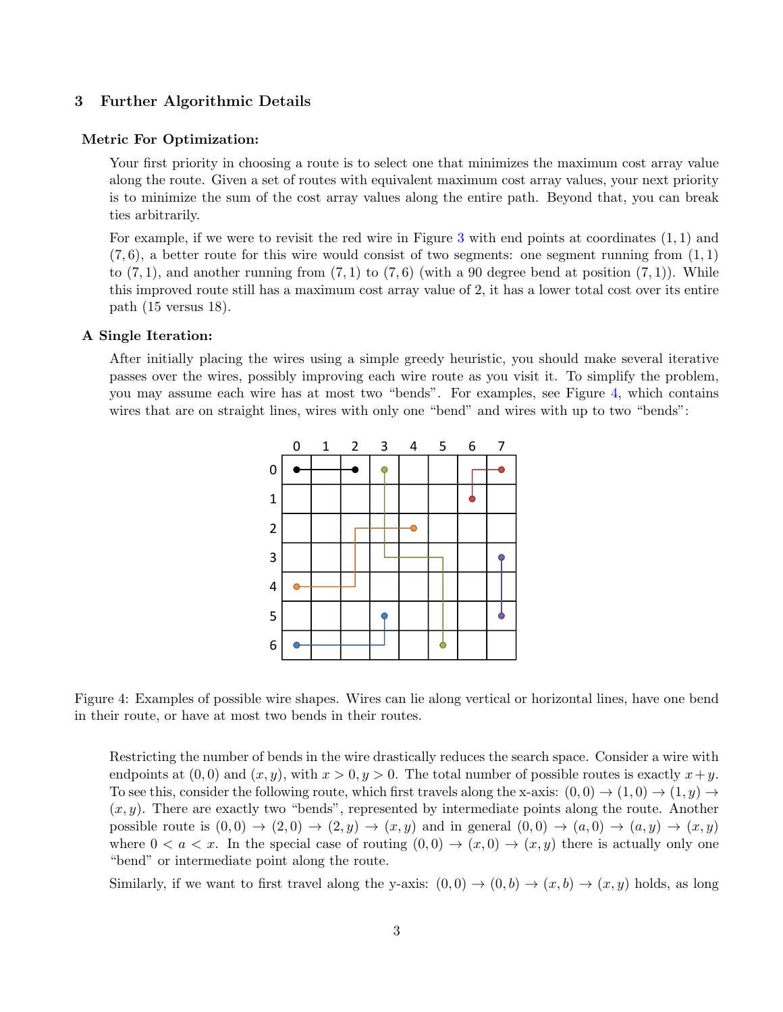#### 3 Further Algorithmic Details

#### Metric For Optimization:

Your first priority in choosing a route is to select one that minimizes the maximum cost array value along the route. Given a set of routes with equivalent maximum cost array values, your next priority is to minimize the sum of the cost array values along the entire path. Beyond that, you can break ties arbitrarily.

For example, if we were to revisit the red wire in Figure [3](#page-1-1) with end points at coordinates  $(1,1)$  and  $(7, 6)$ , a better route for this wire would consist of two segments: one segment running from  $(1, 1)$ to  $(7, 1)$ , and another running from  $(7, 1)$  to  $(7, 6)$  (with a 90 degree bend at position  $(7, 1)$ ). While this improved route still has a maximum cost array value of 2, it has a lower total cost over its entire path (15 versus 18).

#### A Single Iteration:

After initially placing the wires using a simple greedy heuristic, you should make several iterative passes over the wires, possibly improving each wire route as you visit it. To simplify the problem, you may assume each wire has at most two "bends". For examples, see Figure [4,](#page-2-0) which contains wires that are on straight lines, wires with only one "bend" and wires with up to two "bends":



<span id="page-2-0"></span>Figure 4: Examples of possible wire shapes. Wires can lie along vertical or horizontal lines, have one bend in their route, or have at most two bends in their routes.

Restricting the number of bends in the wire drastically reduces the search space. Consider a wire with endpoints at  $(0, 0)$  and  $(x, y)$ , with  $x > 0, y > 0$ . The total number of possible routes is exactly  $x+y$ . To see this, consider the following route, which first travels along the x-axis:  $(0,0) \rightarrow (1,0) \rightarrow (1,y) \rightarrow$  $(x, y)$ . There are exactly two "bends", represented by intermediate points along the route. Another possible route is  $(0, 0) \rightarrow (2, 0) \rightarrow (2, y) \rightarrow (x, y)$  and in general  $(0, 0) \rightarrow (a, 0) \rightarrow (a, y) \rightarrow (x, y)$ where  $0 < a < x$ . In the special case of routing  $(0,0) \rightarrow (x,0) \rightarrow (x,y)$  there is actually only one "bend" or intermediate point along the route.

Similarly, if we want to first travel along the y-axis:  $(0,0) \rightarrow (0,b) \rightarrow (x,b) \rightarrow (x,y)$  holds, as long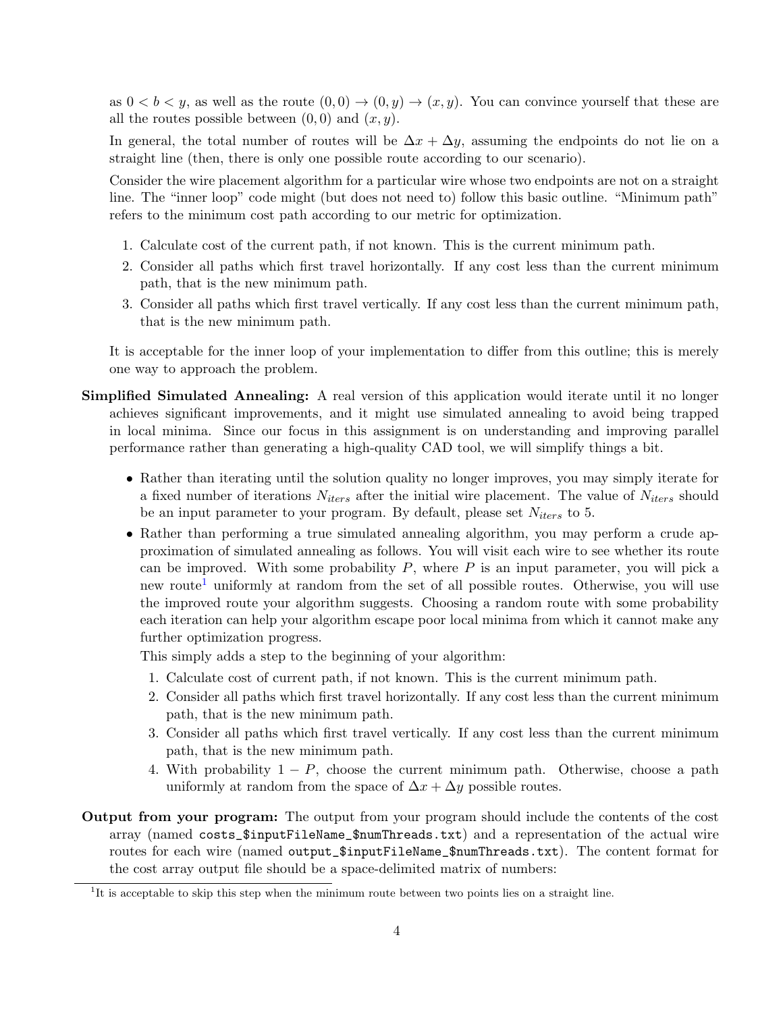as  $0 < b < y$ , as well as the route  $(0, 0) \rightarrow (0, y) \rightarrow (x, y)$ . You can convince yourself that these are all the routes possible between  $(0, 0)$  and  $(x, y)$ .

In general, the total number of routes will be  $\Delta x + \Delta y$ , assuming the endpoints do not lie on a straight line (then, there is only one possible route according to our scenario).

Consider the wire placement algorithm for a particular wire whose two endpoints are not on a straight line. The "inner loop" code might (but does not need to) follow this basic outline. "Minimum path" refers to the minimum cost path according to our metric for optimization.

- 1. Calculate cost of the current path, if not known. This is the current minimum path.
- 2. Consider all paths which first travel horizontally. If any cost less than the current minimum path, that is the new minimum path.
- 3. Consider all paths which first travel vertically. If any cost less than the current minimum path, that is the new minimum path.

It is acceptable for the inner loop of your implementation to differ from this outline; this is merely one way to approach the problem.

- Simplified Simulated Annealing: A real version of this application would iterate until it no longer achieves significant improvements, and it might use simulated annealing to avoid being trapped in local minima. Since our focus in this assignment is on understanding and improving parallel performance rather than generating a high-quality CAD tool, we will simplify things a bit.
	- Rather than iterating until the solution quality no longer improves, you may simply iterate for a fixed number of iterations  $N_{iters}$  after the initial wire placement. The value of  $N_{iters}$  should be an input parameter to your program. By default, please set  $N_{iters}$  to 5.
	- Rather than performing a true simulated annealing algorithm, you may perform a crude approximation of simulated annealing as follows. You will visit each wire to see whether its route can be improved. With some probability  $P$ , where  $P$  is an input parameter, you will pick a new route<sup>[1](#page-3-0)</sup> uniformly at random from the set of all possible routes. Otherwise, you will use the improved route your algorithm suggests. Choosing a random route with some probability each iteration can help your algorithm escape poor local minima from which it cannot make any further optimization progress.

This simply adds a step to the beginning of your algorithm:

- 1. Calculate cost of current path, if not known. This is the current minimum path.
- 2. Consider all paths which first travel horizontally. If any cost less than the current minimum path, that is the new minimum path.
- 3. Consider all paths which first travel vertically. If any cost less than the current minimum path, that is the new minimum path.
- 4. With probability  $1 P$ , choose the current minimum path. Otherwise, choose a path uniformly at random from the space of  $\Delta x + \Delta y$  possible routes.
- Output from your program: The output from your program should include the contents of the cost array (named costs\_\$inputFileName\_\$numThreads.txt) and a representation of the actual wire routes for each wire (named output\_\$inputFileName\_\$numThreads.txt). The content format for the cost array output file should be a space-delimited matrix of numbers:

<span id="page-3-0"></span><sup>&</sup>lt;sup>1</sup>It is acceptable to skip this step when the minimum route between two points lies on a straight line.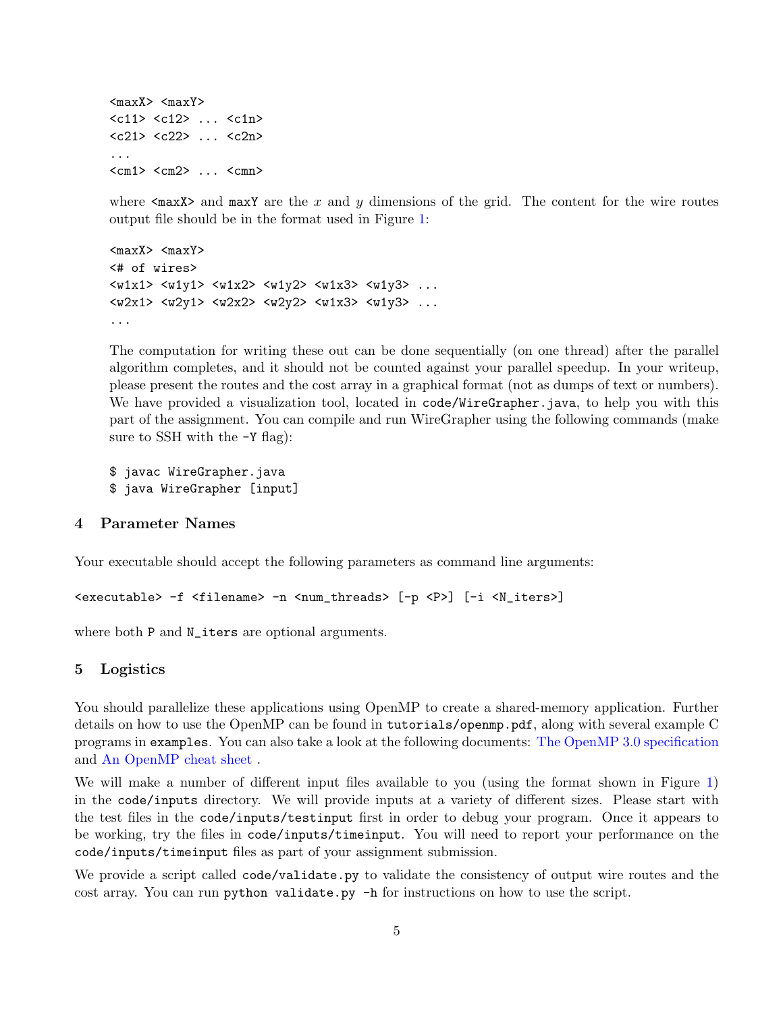$<$ maxX>  $<$ maxY> <c11> <c12> ... <c1n> <c21> <c22> ... <c2n> ...  $<sub>cm1</sub> > <sub>cm2</sub> > ... <sub>cmn</sub>$ </sub>

where  $\langle \text{max} \rangle$  and  $\text{max}$  are the x and y dimensions of the grid. The content for the wire routes output file should be in the format used in Figure [1:](#page-0-0)

```
<maxX> <maxY>
<# of wires>
<w1x1> <w1y1> <w1x2> <w1y2> <w1x3> <w1y3> ...
<w2x1> <w2y1> <w2x2> <w2y2> <w1x3> <w1y3> ...
...
```
The computation for writing these out can be done sequentially (on one thread) after the parallel algorithm completes, and it should not be counted against your parallel speedup. In your writeup, please present the routes and the cost array in a graphical format (not as dumps of text or numbers). We have provided a visualization tool, located in code/WireGrapher.java, to help you with this part of the assignment. You can compile and run WireGrapher using the following commands (make sure to SSH with the  $-Y$  flag):

\$ javac WireGrapher.java \$ java WireGrapher [input]

#### 4 Parameter Names

Your executable should accept the following parameters as command line arguments:

```
<executable> -f <filename> -n <num_threads> [-p <P>] [-i <N_iters>]
```
where both P and N\_iters are optional arguments.

#### 5 Logistics

You should parallelize these applications using OpenMP to create a shared-memory application. Further details on how to use the OpenMP can be found in tutorials/openmp.pdf, along with several example C programs in examples. You can also take a look at the following documents: [The OpenMP 3.0 specification](http://www.openmp.org/mp-documents/spec30.pdf) and [An OpenMP cheat sheet](http://openmp.org/mp-documents/OpenMP3.1-CCard.pdf) .

We will make a number of different input files available to you (using the format shown in Figure [1\)](#page-0-0) in the code/inputs directory. We will provide inputs at a variety of different sizes. Please start with the test files in the code/inputs/testinput first in order to debug your program. Once it appears to be working, try the files in code/inputs/timeinput. You will need to report your performance on the code/inputs/timeinput files as part of your assignment submission.

We provide a script called code/validate.py to validate the consistency of output wire routes and the cost array. You can run python validate.py -h for instructions on how to use the script.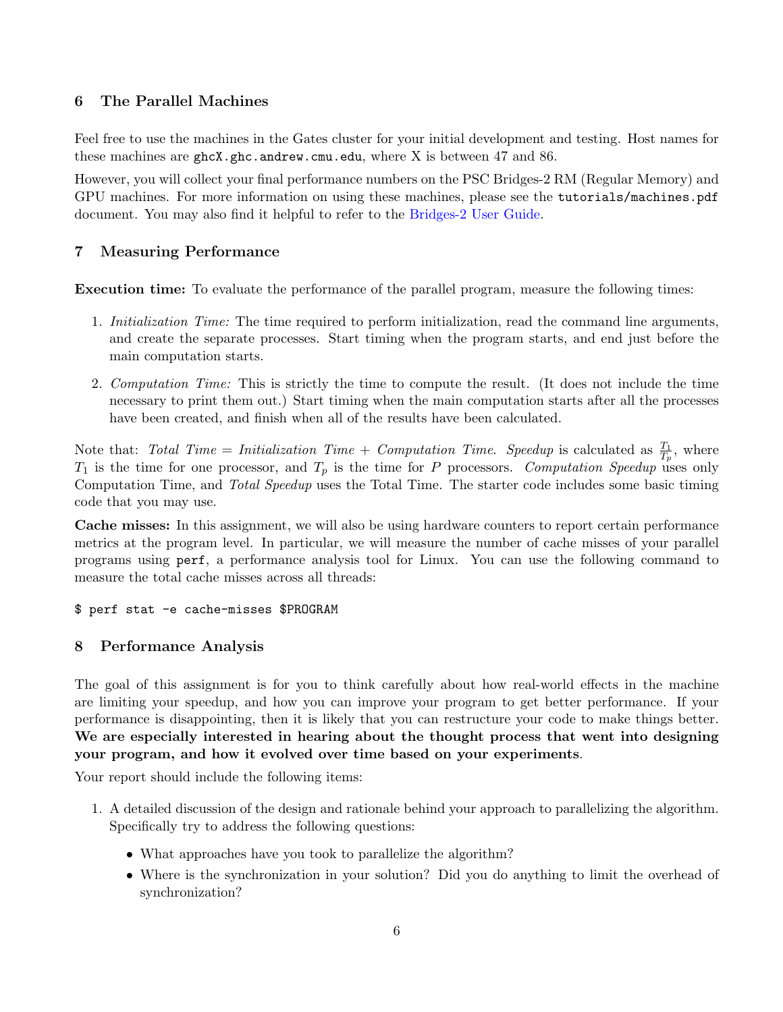### 6 The Parallel Machines

Feel free to use the machines in the Gates cluster for your initial development and testing. Host names for these machines are  $ghcX.ghc.andrew.cmu.edu$ , where X is between 47 and 86.

However, you will collect your final performance numbers on the PSC Bridges-2 RM (Regular Memory) and GPU machines. For more information on using these machines, please see the tutorials/machines.pdf document. You may also find it helpful to refer to the [Bridges-2 User Guide.](https://www.psc.edu/resources/bridges-2/user-guide-2/)

## 7 Measuring Performance

Execution time: To evaluate the performance of the parallel program, measure the following times:

- 1. Initialization Time: The time required to perform initialization, read the command line arguments, and create the separate processes. Start timing when the program starts, and end just before the main computation starts.
- 2. Computation Time: This is strictly the time to compute the result. (It does not include the time necessary to print them out.) Start timing when the main computation starts after all the processes have been created, and finish when all of the results have been calculated.

Note that: Total Time = Initialization Time + Computation Time. Speedup is calculated as  $\frac{T_1}{T_p}$ , where  $T_1$  is the time for one processor, and  $T_p$  is the time for P processors. Computation Speedup uses only Computation Time, and Total Speedup uses the Total Time. The starter code includes some basic timing code that you may use.

Cache misses: In this assignment, we will also be using hardware counters to report certain performance metrics at the program level. In particular, we will measure the number of cache misses of your parallel programs using perf, a performance analysis tool for Linux. You can use the following command to measure the total cache misses across all threads:

#### \$ perf stat -e cache-misses \$PROGRAM

### <span id="page-5-0"></span>8 Performance Analysis

The goal of this assignment is for you to think carefully about how real-world effects in the machine are limiting your speedup, and how you can improve your program to get better performance. If your performance is disappointing, then it is likely that you can restructure your code to make things better. We are especially interested in hearing about the thought process that went into designing your program, and how it evolved over time based on your experiments.

Your report should include the following items:

- 1. A detailed discussion of the design and rationale behind your approach to parallelizing the algorithm. Specifically try to address the following questions:
	- What approaches have you took to parallelize the algorithm?
	- Where is the synchronization in your solution? Did you do anything to limit the overhead of synchronization?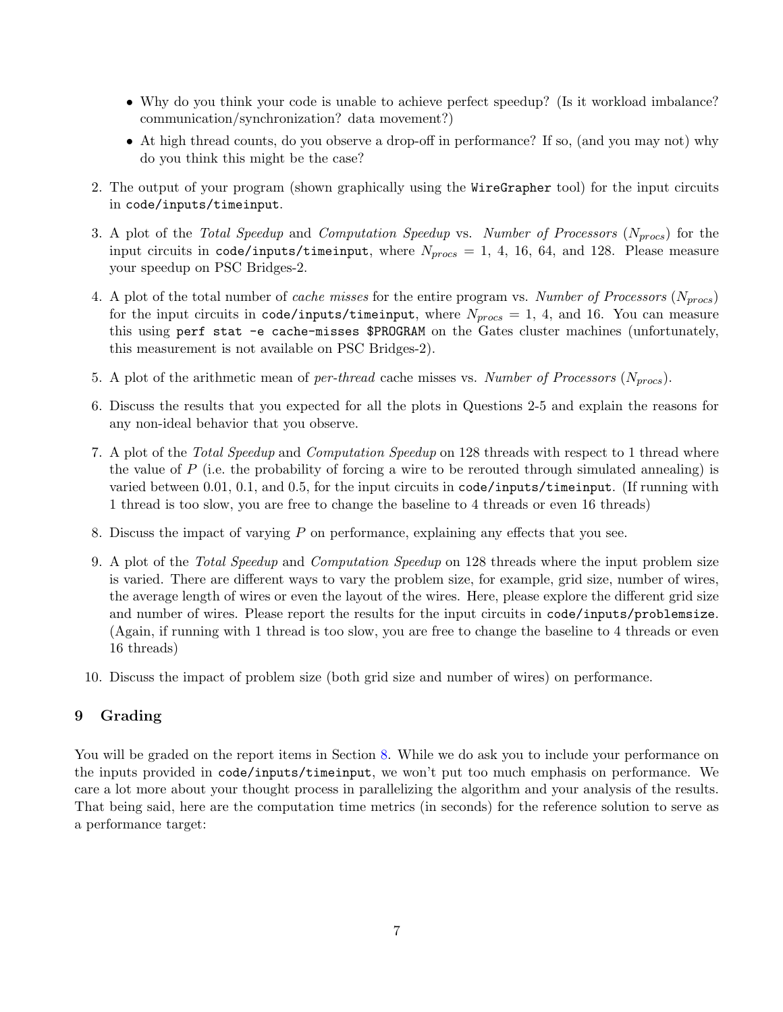- Why do you think your code is unable to achieve perfect speedup? (Is it workload imbalance? communication/synchronization? data movement?)
- At high thread counts, do you observe a drop-off in performance? If so, (and you may not) why do you think this might be the case?
- 2. The output of your program (shown graphically using the WireGrapher tool) for the input circuits in code/inputs/timeinput.
- 3. A plot of the Total Speedup and Computation Speedup vs. Number of Processors  $(N_{process})$  for the input circuits in code/inputs/timeinput, where  $N_{process} = 1, 4, 16, 64,$  and 128. Please measure your speedup on PSC Bridges-2.
- 4. A plot of the total number of *cache misses* for the entire program vs. Number of Processors ( $N_{process}$ ) for the input circuits in code/inputs/timeinput, where  $N_{process} = 1, 4,$  and 16. You can measure this using perf stat -e cache-misses \$PROGRAM on the Gates cluster machines (unfortunately, this measurement is not available on PSC Bridges-2).
- 5. A plot of the arithmetic mean of *per-thread* cache misses vs. Number of Processors ( $N_{process}$ ).
- 6. Discuss the results that you expected for all the plots in Questions 2-5 and explain the reasons for any non-ideal behavior that you observe.
- 7. A plot of the Total Speedup and Computation Speedup on 128 threads with respect to 1 thread where the value of  $P$  (i.e. the probability of forcing a wire to be rerouted through simulated annealing) is varied between 0.01, 0.1, and 0.5, for the input circuits in code/inputs/timeinput. (If running with 1 thread is too slow, you are free to change the baseline to 4 threads or even 16 threads)
- 8. Discuss the impact of varying P on performance, explaining any effects that you see.
- 9. A plot of the Total Speedup and Computation Speedup on 128 threads where the input problem size is varied. There are different ways to vary the problem size, for example, grid size, number of wires, the average length of wires or even the layout of the wires. Here, please explore the different grid size and number of wires. Please report the results for the input circuits in code/inputs/problemsize. (Again, if running with 1 thread is too slow, you are free to change the baseline to 4 threads or even 16 threads)
- 10. Discuss the impact of problem size (both grid size and number of wires) on performance.

### 9 Grading

You will be graded on the report items in Section [8.](#page-5-0) While we do ask you to include your performance on the inputs provided in code/inputs/timeinput, we won't put too much emphasis on performance. We care a lot more about your thought process in parallelizing the algorithm and your analysis of the results. That being said, here are the computation time metrics (in seconds) for the reference solution to serve as a performance target: